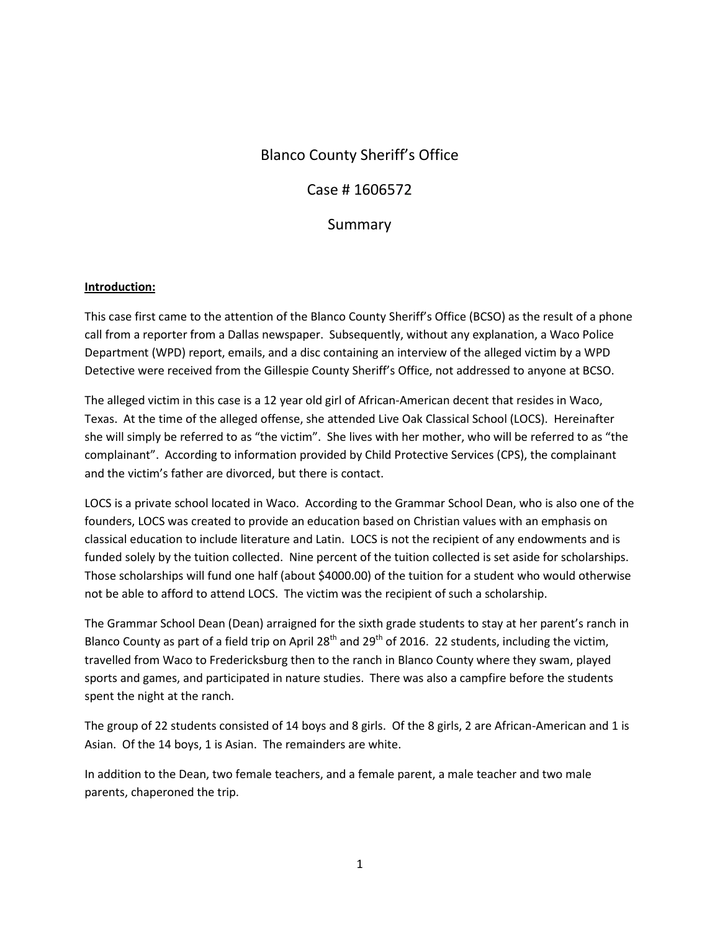# Blanco County Sheriff's Office

## Case # 1606572

## Summary

#### **Introduction:**

This case first came to the attention of the Blanco County Sheriff's Office (BCSO) as the result of a phone call from a reporter from a Dallas newspaper. Subsequently, without any explanation, a Waco Police Department (WPD) report, emails, and a disc containing an interview of the alleged victim by a WPD Detective were received from the Gillespie County Sheriff's Office, not addressed to anyone at BCSO.

The alleged victim in this case is a 12 year old girl of African-American decent that resides in Waco, Texas. At the time of the alleged offense, she attended Live Oak Classical School (LOCS). Hereinafter she will simply be referred to as "the victim". She lives with her mother, who will be referred to as "the complainant". According to information provided by Child Protective Services (CPS), the complainant and the victim's father are divorced, but there is contact.

LOCS is a private school located in Waco. According to the Grammar School Dean, who is also one of the founders, LOCS was created to provide an education based on Christian values with an emphasis on classical education to include literature and Latin. LOCS is not the recipient of any endowments and is funded solely by the tuition collected. Nine percent of the tuition collected is set aside for scholarships. Those scholarships will fund one half (about \$4000.00) of the tuition for a student who would otherwise not be able to afford to attend LOCS. The victim was the recipient of such a scholarship.

The Grammar School Dean (Dean) arraigned for the sixth grade students to stay at her parent's ranch in Blanco County as part of a field trip on April 28<sup>th</sup> and 29<sup>th</sup> of 2016. 22 students, including the victim, travelled from Waco to Fredericksburg then to the ranch in Blanco County where they swam, played sports and games, and participated in nature studies. There was also a campfire before the students spent the night at the ranch.

The group of 22 students consisted of 14 boys and 8 girls. Of the 8 girls, 2 are African-American and 1 is Asian. Of the 14 boys, 1 is Asian. The remainders are white.

In addition to the Dean, two female teachers, and a female parent, a male teacher and two male parents, chaperoned the trip.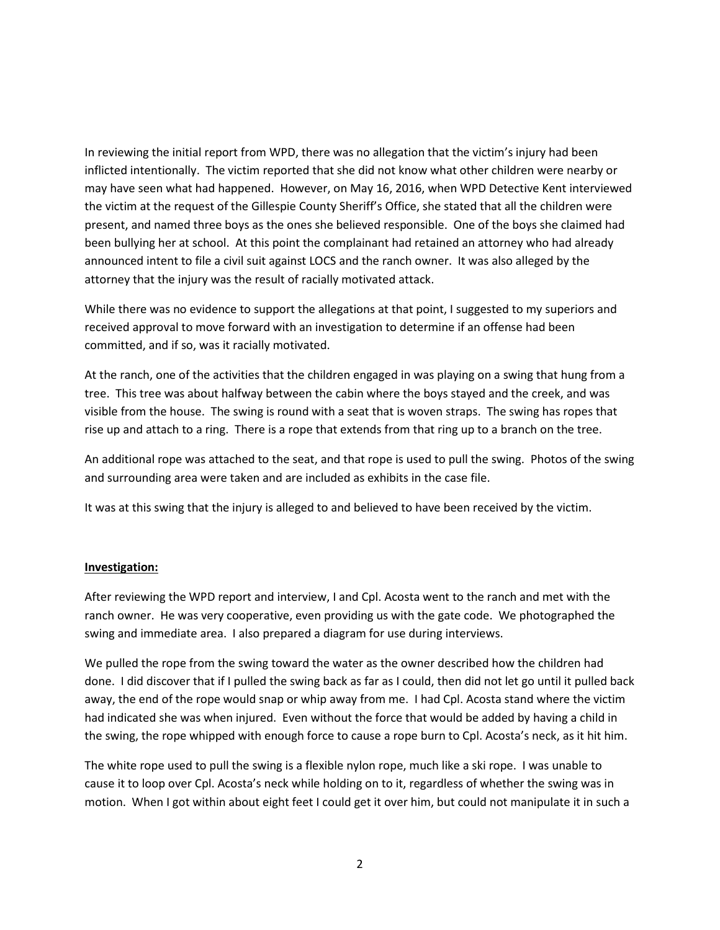In reviewing the initial report from WPD, there was no allegation that the victim's injury had been inflicted intentionally. The victim reported that she did not know what other children were nearby or may have seen what had happened. However, on May 16, 2016, when WPD Detective Kent interviewed the victim at the request of the Gillespie County Sheriff's Office, she stated that all the children were present, and named three boys as the ones she believed responsible. One of the boys she claimed had been bullying her at school. At this point the complainant had retained an attorney who had already announced intent to file a civil suit against LOCS and the ranch owner. It was also alleged by the attorney that the injury was the result of racially motivated attack.

While there was no evidence to support the allegations at that point, I suggested to my superiors and received approval to move forward with an investigation to determine if an offense had been committed, and if so, was it racially motivated.

At the ranch, one of the activities that the children engaged in was playing on a swing that hung from a tree. This tree was about halfway between the cabin where the boys stayed and the creek, and was visible from the house. The swing is round with a seat that is woven straps. The swing has ropes that rise up and attach to a ring. There is a rope that extends from that ring up to a branch on the tree.

An additional rope was attached to the seat, and that rope is used to pull the swing. Photos of the swing and surrounding area were taken and are included as exhibits in the case file.

It was at this swing that the injury is alleged to and believed to have been received by the victim.

#### **Investigation:**

After reviewing the WPD report and interview, I and Cpl. Acosta went to the ranch and met with the ranch owner. He was very cooperative, even providing us with the gate code. We photographed the swing and immediate area. I also prepared a diagram for use during interviews.

We pulled the rope from the swing toward the water as the owner described how the children had done. I did discover that if I pulled the swing back as far as I could, then did not let go until it pulled back away, the end of the rope would snap or whip away from me. I had Cpl. Acosta stand where the victim had indicated she was when injured. Even without the force that would be added by having a child in the swing, the rope whipped with enough force to cause a rope burn to Cpl. Acosta's neck, as it hit him.

The white rope used to pull the swing is a flexible nylon rope, much like a ski rope. I was unable to cause it to loop over Cpl. Acosta's neck while holding on to it, regardless of whether the swing was in motion. When I got within about eight feet I could get it over him, but could not manipulate it in such a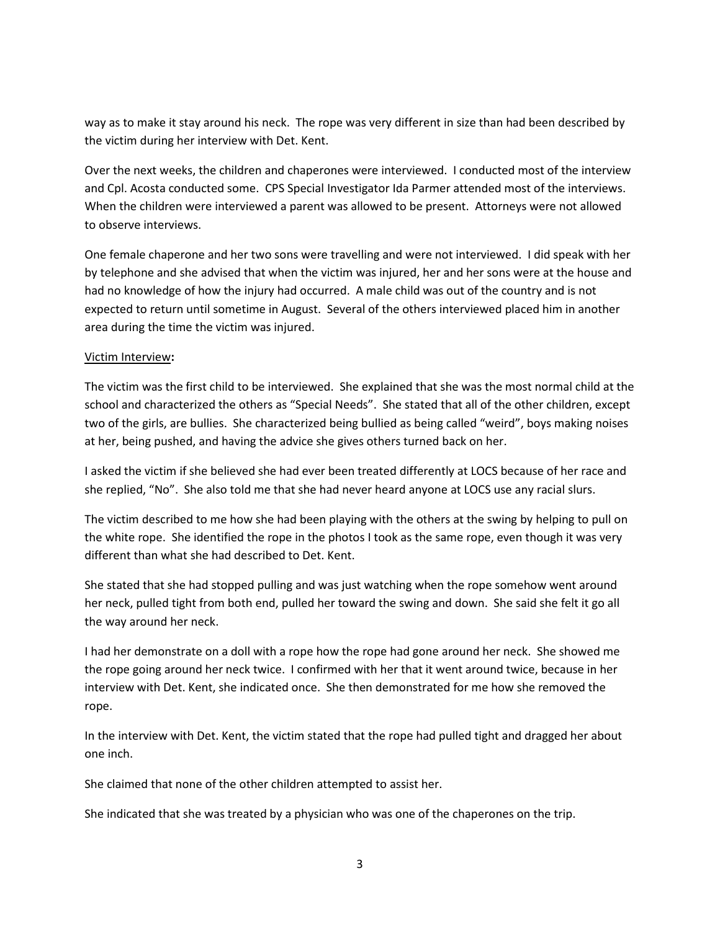way as to make it stay around his neck. The rope was very different in size than had been described by the victim during her interview with Det. Kent.

Over the next weeks, the children and chaperones were interviewed. I conducted most of the interview and Cpl. Acosta conducted some. CPS Special Investigator Ida Parmer attended most of the interviews. When the children were interviewed a parent was allowed to be present. Attorneys were not allowed to observe interviews.

One female chaperone and her two sons were travelling and were not interviewed. I did speak with her by telephone and she advised that when the victim was injured, her and her sons were at the house and had no knowledge of how the injury had occurred. A male child was out of the country and is not expected to return until sometime in August. Several of the others interviewed placed him in another area during the time the victim was injured.

#### Victim Interview**:**

The victim was the first child to be interviewed. She explained that she was the most normal child at the school and characterized the others as "Special Needs". She stated that all of the other children, except two of the girls, are bullies. She characterized being bullied as being called "weird", boys making noises at her, being pushed, and having the advice she gives others turned back on her.

I asked the victim if she believed she had ever been treated differently at LOCS because of her race and she replied, "No". She also told me that she had never heard anyone at LOCS use any racial slurs.

The victim described to me how she had been playing with the others at the swing by helping to pull on the white rope. She identified the rope in the photos I took as the same rope, even though it was very different than what she had described to Det. Kent.

She stated that she had stopped pulling and was just watching when the rope somehow went around her neck, pulled tight from both end, pulled her toward the swing and down. She said she felt it go all the way around her neck.

I had her demonstrate on a doll with a rope how the rope had gone around her neck. She showed me the rope going around her neck twice. I confirmed with her that it went around twice, because in her interview with Det. Kent, she indicated once. She then demonstrated for me how she removed the rope.

In the interview with Det. Kent, the victim stated that the rope had pulled tight and dragged her about one inch.

She claimed that none of the other children attempted to assist her.

She indicated that she was treated by a physician who was one of the chaperones on the trip.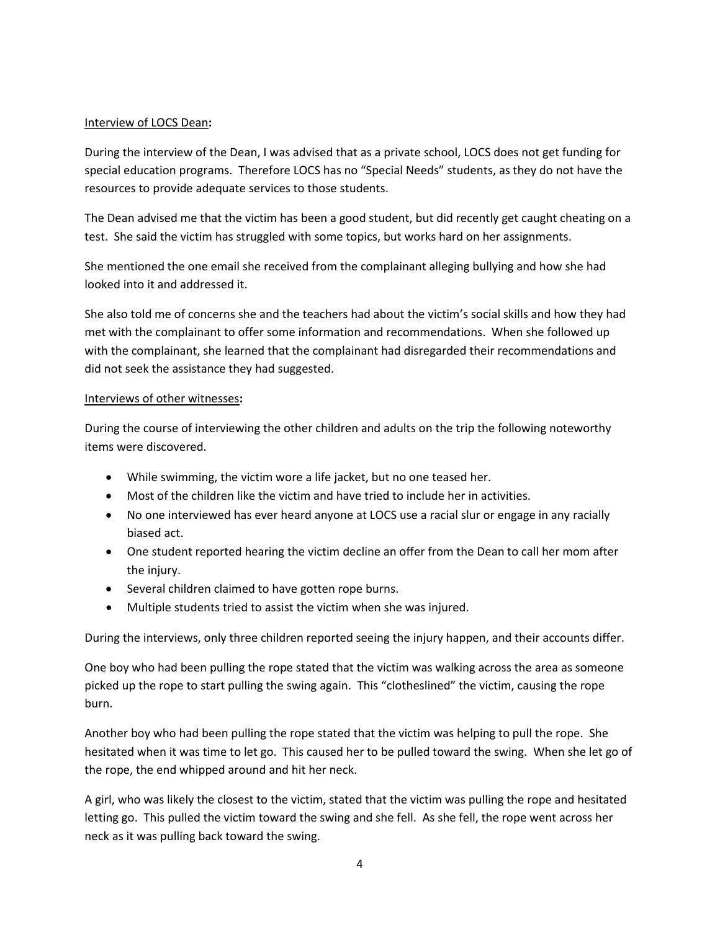### Interview of LOCS Dean**:**

During the interview of the Dean, I was advised that as a private school, LOCS does not get funding for special education programs. Therefore LOCS has no "Special Needs" students, as they do not have the resources to provide adequate services to those students.

The Dean advised me that the victim has been a good student, but did recently get caught cheating on a test. She said the victim has struggled with some topics, but works hard on her assignments.

She mentioned the one email she received from the complainant alleging bullying and how she had looked into it and addressed it.

She also told me of concerns she and the teachers had about the victim's social skills and how they had met with the complainant to offer some information and recommendations. When she followed up with the complainant, she learned that the complainant had disregarded their recommendations and did not seek the assistance they had suggested.

#### Interviews of other witnesses**:**

During the course of interviewing the other children and adults on the trip the following noteworthy items were discovered.

- While swimming, the victim wore a life jacket, but no one teased her.
- Most of the children like the victim and have tried to include her in activities.
- No one interviewed has ever heard anyone at LOCS use a racial slur or engage in any racially biased act.
- One student reported hearing the victim decline an offer from the Dean to call her mom after the injury.
- Several children claimed to have gotten rope burns.
- Multiple students tried to assist the victim when she was injured.

During the interviews, only three children reported seeing the injury happen, and their accounts differ.

One boy who had been pulling the rope stated that the victim was walking across the area as someone picked up the rope to start pulling the swing again. This "clotheslined" the victim, causing the rope burn.

Another boy who had been pulling the rope stated that the victim was helping to pull the rope. She hesitated when it was time to let go. This caused her to be pulled toward the swing. When she let go of the rope, the end whipped around and hit her neck.

A girl, who was likely the closest to the victim, stated that the victim was pulling the rope and hesitated letting go. This pulled the victim toward the swing and she fell. As she fell, the rope went across her neck as it was pulling back toward the swing.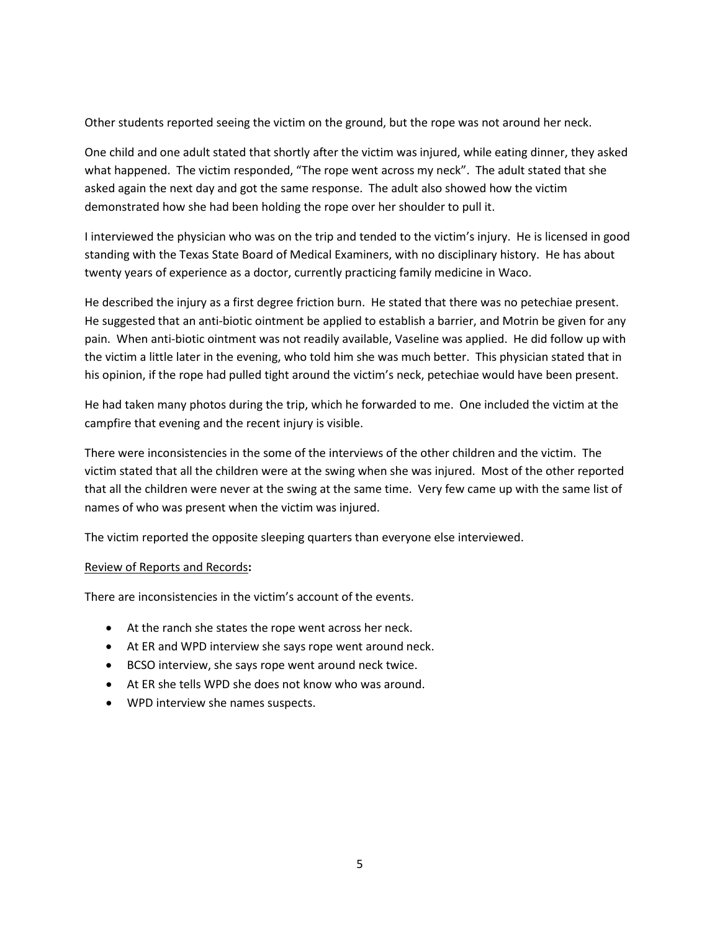Other students reported seeing the victim on the ground, but the rope was not around her neck.

One child and one adult stated that shortly after the victim was injured, while eating dinner, they asked what happened. The victim responded, "The rope went across my neck". The adult stated that she asked again the next day and got the same response. The adult also showed how the victim demonstrated how she had been holding the rope over her shoulder to pull it.

I interviewed the physician who was on the trip and tended to the victim's injury. He is licensed in good standing with the Texas State Board of Medical Examiners, with no disciplinary history. He has about twenty years of experience as a doctor, currently practicing family medicine in Waco.

He described the injury as a first degree friction burn. He stated that there was no petechiae present. He suggested that an anti-biotic ointment be applied to establish a barrier, and Motrin be given for any pain. When anti-biotic ointment was not readily available, Vaseline was applied. He did follow up with the victim a little later in the evening, who told him she was much better. This physician stated that in his opinion, if the rope had pulled tight around the victim's neck, petechiae would have been present.

He had taken many photos during the trip, which he forwarded to me. One included the victim at the campfire that evening and the recent injury is visible.

There were inconsistencies in the some of the interviews of the other children and the victim. The victim stated that all the children were at the swing when she was injured. Most of the other reported that all the children were never at the swing at the same time. Very few came up with the same list of names of who was present when the victim was injured.

The victim reported the opposite sleeping quarters than everyone else interviewed.

### Review of Reports and Records**:**

There are inconsistencies in the victim's account of the events.

- At the ranch she states the rope went across her neck.
- At ER and WPD interview she says rope went around neck.
- BCSO interview, she says rope went around neck twice.
- At ER she tells WPD she does not know who was around.
- WPD interview she names suspects.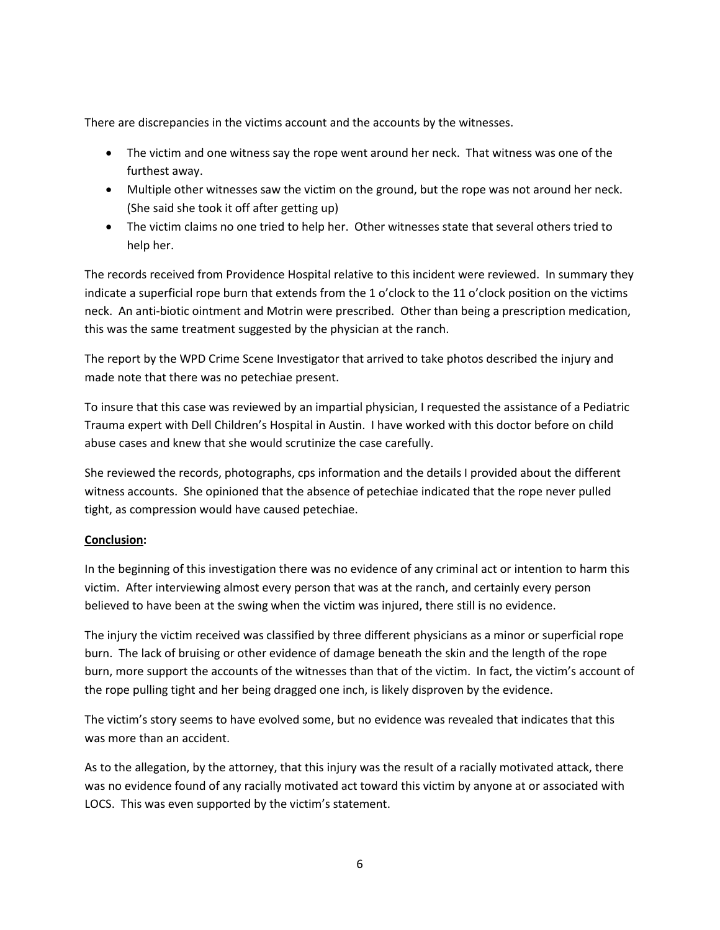There are discrepancies in the victims account and the accounts by the witnesses.

- The victim and one witness say the rope went around her neck. That witness was one of the furthest away.
- Multiple other witnesses saw the victim on the ground, but the rope was not around her neck. (She said she took it off after getting up)
- The victim claims no one tried to help her. Other witnesses state that several others tried to help her.

The records received from Providence Hospital relative to this incident were reviewed. In summary they indicate a superficial rope burn that extends from the 1 o'clock to the 11 o'clock position on the victims neck. An anti-biotic ointment and Motrin were prescribed. Other than being a prescription medication, this was the same treatment suggested by the physician at the ranch.

The report by the WPD Crime Scene Investigator that arrived to take photos described the injury and made note that there was no petechiae present.

To insure that this case was reviewed by an impartial physician, I requested the assistance of a Pediatric Trauma expert with Dell Children's Hospital in Austin. I have worked with this doctor before on child abuse cases and knew that she would scrutinize the case carefully.

She reviewed the records, photographs, cps information and the details I provided about the different witness accounts. She opinioned that the absence of petechiae indicated that the rope never pulled tight, as compression would have caused petechiae.

### **Conclusion:**

In the beginning of this investigation there was no evidence of any criminal act or intention to harm this victim. After interviewing almost every person that was at the ranch, and certainly every person believed to have been at the swing when the victim was injured, there still is no evidence.

The injury the victim received was classified by three different physicians as a minor or superficial rope burn. The lack of bruising or other evidence of damage beneath the skin and the length of the rope burn, more support the accounts of the witnesses than that of the victim. In fact, the victim's account of the rope pulling tight and her being dragged one inch, is likely disproven by the evidence.

The victim's story seems to have evolved some, but no evidence was revealed that indicates that this was more than an accident.

As to the allegation, by the attorney, that this injury was the result of a racially motivated attack, there was no evidence found of any racially motivated act toward this victim by anyone at or associated with LOCS. This was even supported by the victim's statement.